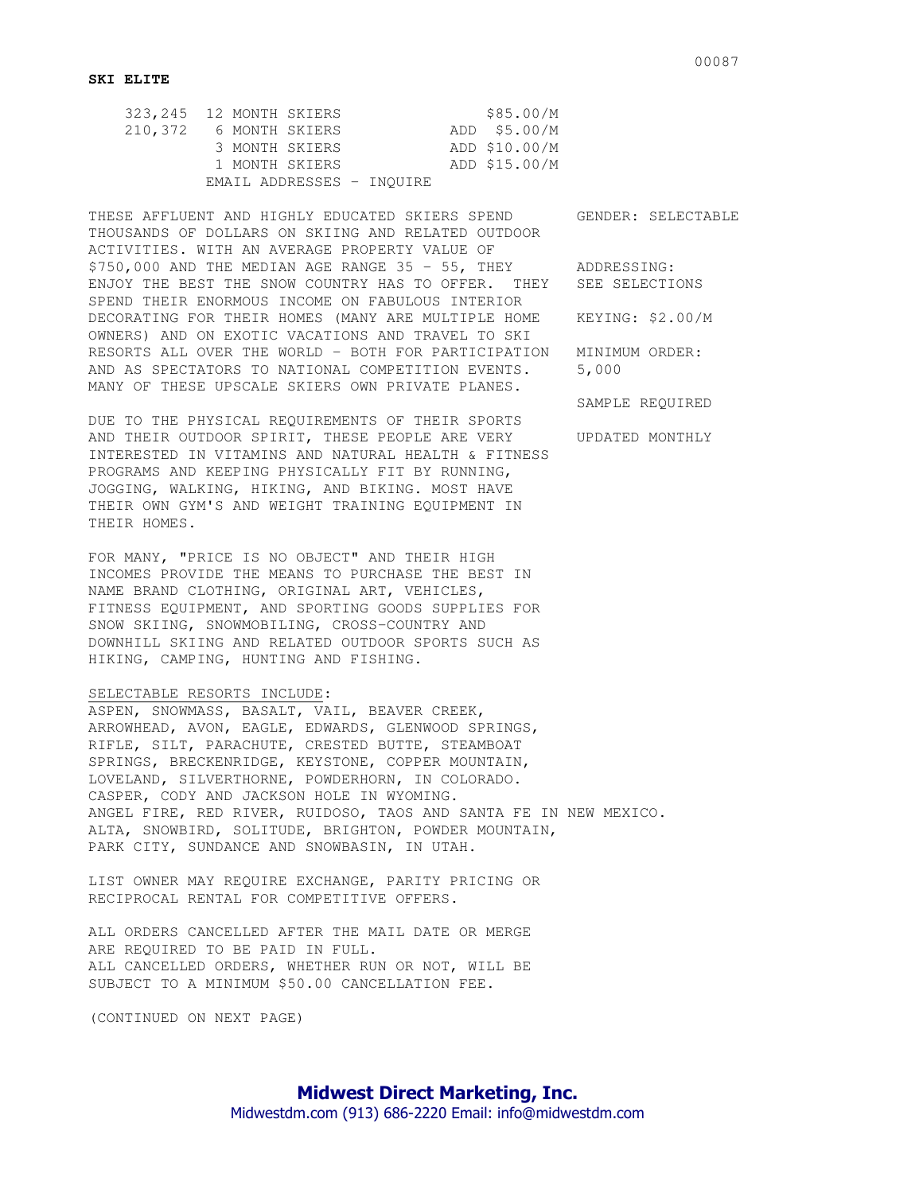|         | 323, 245 12 MONTH SKIERS  | \$85.00/M     |
|---------|---------------------------|---------------|
| 210,372 | 6 MONTH SKIERS            | ADD \$5.00/M  |
|         | 3 MONTH SKIERS            | ADD \$10.00/M |
|         | 1 MONTH SKIERS            | ADD \$15.00/M |
|         | EMAIL ADDRESSES - INOUIRE |               |

THESE AFFLUENT AND HIGHLY EDUCATED SKIERS SPEND GENDER: SELECTABLE THOUSANDS OF DOLLARS ON SKIING AND RELATED OUTDOOR ACTIVITIES. WITH AN AVERAGE PROPERTY VALUE OF \$750,000 AND THE MEDIAN AGE RANGE 35 - 55, THEY ADDRESSING: ENJOY THE BEST THE SNOW COUNTRY HAS TO OFFER. THEY SEE SELECTIONS SPEND THEIR ENORMOUS INCOME ON FABULOUS INTERIOR DECORATING FOR THEIR HOMES (MANY ARE MULTIPLE HOME KEYING: \$2.00/M OWNERS) AND ON EXOTIC VACATIONS AND TRAVEL TO SKI RESORTS ALL OVER THE WORLD - BOTH FOR PARTICIPATION MINIMUM ORDER: AND AS SPECTATORS TO NATIONAL COMPETITION EVENTS. 5,000 MANY OF THESE UPSCALE SKIERS OWN PRIVATE PLANES.

DUE TO THE PHYSICAL REQUIREMENTS OF THEIR SPORTS AND THEIR OUTDOOR SPIRIT, THESE PEOPLE ARE VERY UPDATED MONTHLY INTERESTED IN VITAMINS AND NATURAL HEALTH & FITNESS PROGRAMS AND KEEPING PHYSICALLY FIT BY RUNNING, JOGGING, WALKING, HIKING, AND BIKING. MOST HAVE THEIR OWN GYM'S AND WEIGHT TRAINING EQUIPMENT IN THEIR HOMES.

FOR MANY, "PRICE IS NO OBJECT" AND THEIR HIGH INCOMES PROVIDE THE MEANS TO PURCHASE THE BEST IN NAME BRAND CLOTHING, ORIGINAL ART, VEHICLES, FITNESS EQUIPMENT, AND SPORTING GOODS SUPPLIES FOR SNOW SKIING, SNOWMOBILING, CROSS-COUNTRY AND DOWNHILL SKIING AND RELATED OUTDOOR SPORTS SUCH AS HIKING, CAMPING, HUNTING AND FISHING.

## SELECTABLE RESORTS INCLUDE:

ASPEN, SNOWMASS, BASALT, VAIL, BEAVER CREEK, ARROWHEAD, AVON, EAGLE, EDWARDS, GLENWOOD SPRINGS, RIFLE, SILT, PARACHUTE, CRESTED BUTTE, STEAMBOAT SPRINGS, BRECKENRIDGE, KEYSTONE, COPPER MOUNTAIN, LOVELAND, SILVERTHORNE, POWDERHORN, IN COLORADO. CASPER, CODY AND JACKSON HOLE IN WYOMING. ANGEL FIRE, RED RIVER, RUIDOSO, TAOS AND SANTA FE IN NEW MEXICO. ALTA, SNOWBIRD, SOLITUDE, BRIGHTON, POWDER MOUNTAIN, PARK CITY, SUNDANCE AND SNOWBASIN, IN UTAH.

LIST OWNER MAY REQUIRE EXCHANGE, PARITY PRICING OR RECIPROCAL RENTAL FOR COMPETITIVE OFFERS.

ALL ORDERS CANCELLED AFTER THE MAIL DATE OR MERGE ARE REQUIRED TO BE PAID IN FULL. ALL CANCELLED ORDERS, WHETHER RUN OR NOT, WILL BE SUBJECT TO A MINIMUM \$50.00 CANCELLATION FEE.

(CONTINUED ON NEXT PAGE)

SAMPLE REQUIRED